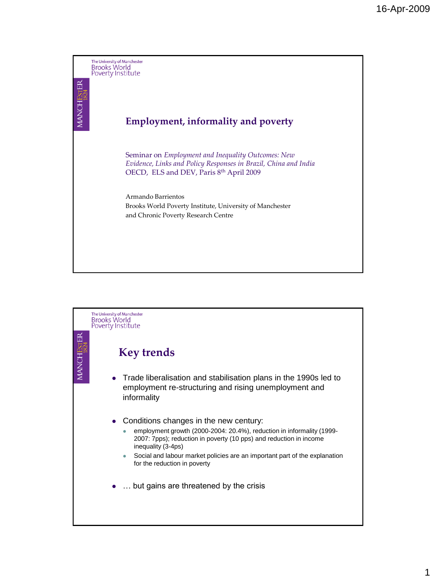

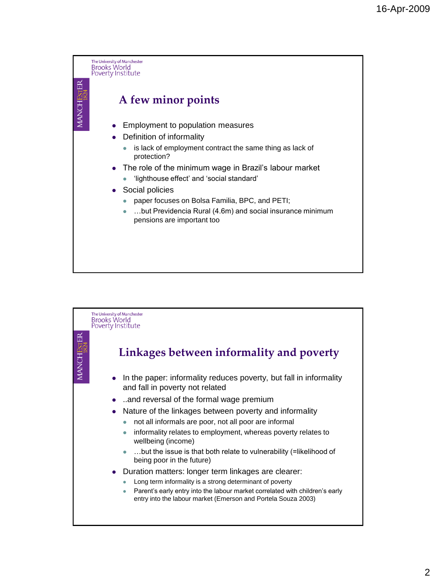